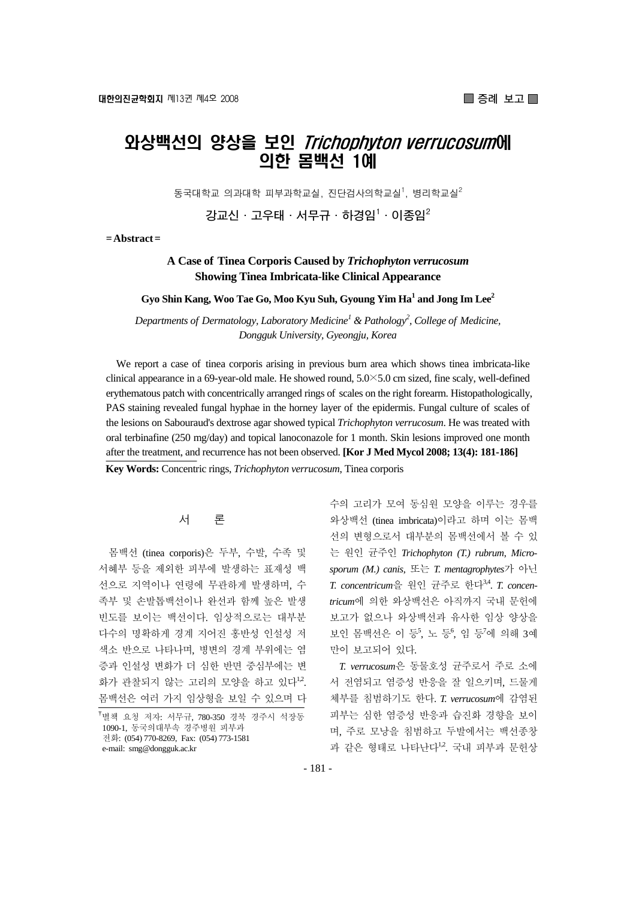# 와상백선의 양상을 보인 Trichophyton verrucosum에 의한 몸백선 1예

동국대학교 의과대학 피부과학교실, 진단검사의학교실<sup>1</sup>, 병리학교실 $^2$ 

**강교신·고우태·서무규·하경임1 ·이종임2**

**= Abstract =** 

## **A Case of Tinea Corporis Caused by** *Trichophyton verrucosum* **Showing Tinea Imbricata-like Clinical Appearance**

**Gyo Shin Kang, Woo Tae Go, Moo Kyu Suh, Gyoung Yim Ha1 and Jong Im Lee2**

Departments of Dermatology, Laboratory Medicine<sup>1</sup> & Pathology<sup>2</sup>, College of Medicine, *Dongguk University, Gyeongju, Korea* 

We report a case of tinea corporis arising in previous burn area which shows tinea imbricata-like clinical appearance in a 69-year-old male. He showed round, 5.0×5.0 cm sized, fine scaly, well-defined erythematous patch with concentrically arranged rings of scales on the right forearm. Histopathologically, PAS staining revealed fungal hyphae in the horney layer of the epidermis. Fungal culture of scales of the lesions on Sabouraud's dextrose agar showed typical *Trichophyton verrucosum*. He was treated with oral terbinafine (250 mg/day) and topical lanoconazole for 1 month. Skin lesions improved one month after the treatment, and recurrence has not been observed. **[Kor J Med Mycol 2008; 13(4): 181-186] Key Words:** Concentric rings, *Trichophyton verrucosum*, Tinea corporis

## 서 론

몸백선 (tinea corporis)은 두부, 수발, 수족 및 서혜부 등을 제외한 피부에 발생하는 표재성 백 선으로 지역이나 연령에 무관하게 발생하며, 수 족부 및 손발톱백선이나 완선과 함께 높은 발생 빈도를 보이는 백선이다. 임상적으로는 대부분 다수의 명확하게 경계 지어진 홍반성 인설성 저 색소 반으로 나타나며, 병변의 경계 부위에는 염 증과 인설성 변화가 더 심한 반면 중심부에는 변 화가 관찰되지 않는 고리의 모양을 하고 있다<sup>12</sup>. 몸백선은 여러 가지 임상형을 보일 수 있으며 다 수의 고리가 모여 동심원 모양을 이루는 경우를 와상백선 (tinea imbricata)이라고 하며 이는 몸백 선의 변형으로서 대부분의 몸백선에서 볼 수 있 는 원인 균주인 *Trichophyton (T.) rubrum*, *Microsporum (M.) canis*, 또는 *T. mentagrophytes*가 아닌 *T. concentricum*을 원인 균주로 한다3,4. *T. concentricum*에 의한 와상백선은 아직까지 국내 문헌에 보고가 없으나 와상백선과 유사한 임상 양상을 보인 몸백선은 이 등5, 노 등6, 임 등7에 의해 3예 만이 보고되어 있다.

*T. verrucosum*은 동물호성 균주로서 주로 소에 서 전염되고 염증성 반응을 잘 일으키며, 드물게 체부를 침범하기도 한다. *T. verrucosum*에 감염된 피부는 심한 염증성 반응과 습진화 경향을 보이 며, 주로 모낭을 침범하고 두발에서는 백선종창 과 같은 형태로 나타나다<sup>1,2</sup> 국내 피부과 문허상

<sup>&</sup>lt;sup>†</sup>별책 요청 저자: 서무규, 780-350 경북 경주시 석장동 1090-1, 동국의대부속 경주병원 피부과 전화: (054) 770-8269, Fax: (054) 773-1581 e-mail: smg@dongguk.ac.kr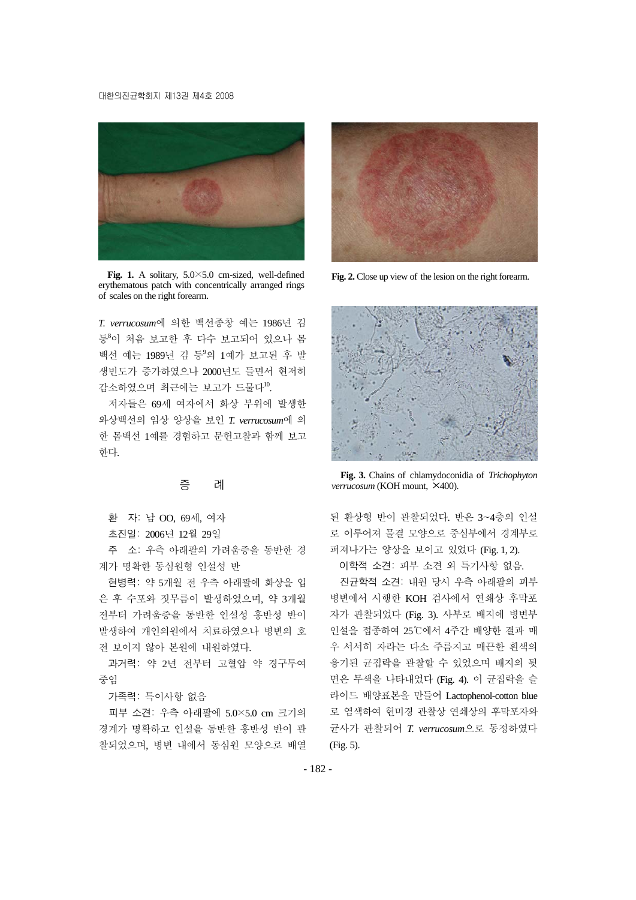#### 대한의진균학회지 제13권 제4호 2008



**Fig. 1.** A solitary, 5.0×5.0 cm-sized, well-defined erythematous patch with concentrically arranged rings of scales on the right forearm.

*T. verrucosum*에 의한 백선종창 예는 1986년 김 등8이 처음 보고한 후 다수 보고되어 있으나 몸 백선 예는 1989년 김 등<sup>9</sup> 의 1예가 보고된 후 발 생빈도가 증가하였으나 2000년도 들면서 현저히 감소하였으며 최근에는 보고가 드물다10.

저자들은 69세 여자에서 화상 부위에 발생한 와상백선의 임상 양상을 보인 *T. verrucosum*에 의 한 몸백선 1예를 경험하고 문헌고찰과 함께 보고 한다.

## 증 례

환 자: 남 OO, 69세, 여자

초진일: 2006년 12월 29일

주 소: 우측 아래팔의 가려움증을 동반한 경 계가 명확한 동심원형 인설성 반

현병력: 약 5개월 전 우측 아래팔에 화상을 입 은 후 수포와 짓무름이 발생하였으며, 약 3개월 전부터 가려움증을 동반한 인설성 홍반성 반이 발생하여 개인의원에서 치료하였으나 병변의 호 전 보이지 않아 본원에 내원하였다.

과거력: 약 2년 전부터 고혈압 약 경구투여 중임

가족력: 특이사항 없음

피부 소견: 우측 아래팔에 5.0×5.0 cm 크기의 경계가 명확하고 인설을 동반한 홍반성 반이 관 찰되었으며, 병변 내에서 동심원 모양으로 배열



**Fig. 2.** Close up view of the lesion on the right forearm.



**Fig. 3.** Chains of chlamydoconidia of *Trichophyton verrucosum* (KOH mount, ×400).

된 환상형 반이 관찰되었다. 반은 3~4층의 인설 로 이루어져 물결 모양으로 중심부에서 경계부로 퍼져나가는 양상을 보이고 있었다 (Fig. 1, 2).

이학적 소견: 피부 소견 외 특기사항 없음.

진균학적 소견: 내원 당시 우측 아래팔의 피부 병변에서 시행한 KOH 검사에서 연쇄상 후막포 자가 관찰되었다 (Fig. 3). 사부로 배지에 병변부 인설을 접종하여 25℃에서 4주간 배양한 결과 매 우 서서히 자라는 다소 주름지고 매끈한 흰색의 융기된 균집락을 관찰할 수 있었으며 배지의 뒷 면은 무색을 나타내었다 (Fig. 4). 이 균집락을 슬 라이드 배양표본을 만들어 Lactophenol-cotton blue 로 염색하여 현미경 관찰상 연쇄상의 후막포자와 균사가 관찰되어 *T. verrucosum*으로 동정하였다 (Fig. 5).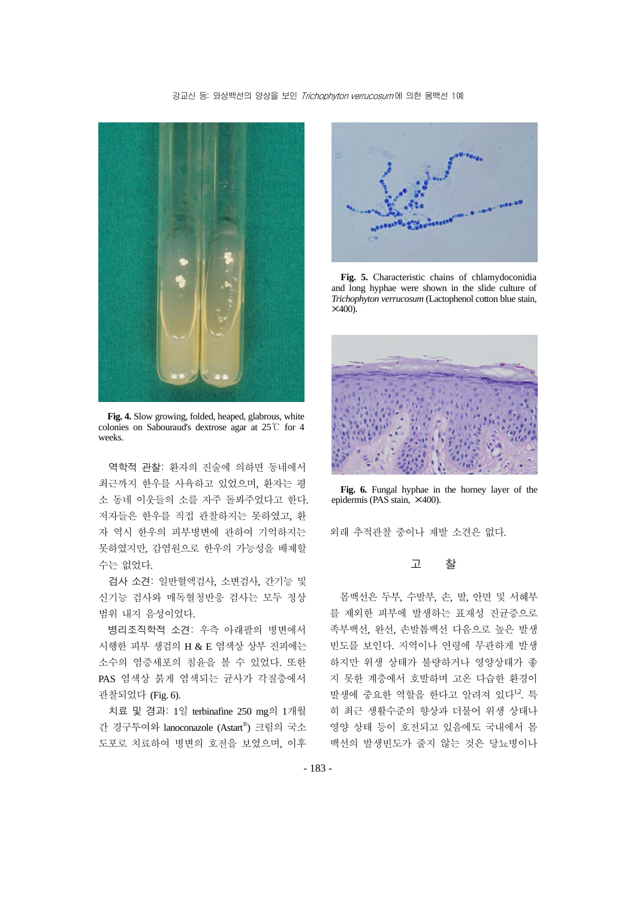#### 강교신 등: 와상백선의 양상을 보인 Trichophyton verrucosum에 의한 몸백선 1예



**Fig. 4.** Slow growing, folded, heaped, glabrous, white colonies on Sabouraud's dextrose agar at 25℃ for 4 weeks.

역학적 관찰: 환자의 진술에 의하면 동네에서 최근까지 한우를 사육하고 있었으며, 환자는 평 소 동네 이웃들의 소를 자주 돌봐주었다고 한다. 저자들은 한우를 직접 관찰하지는 못하였고, 환 자 역시 한우의 피부병변에 관하여 기억하지는 못하였지만, 감염원으로 한우의 가능성을 배제할 수는 없었다.

검사 소견: 일반혈액검사, 소변검사, 간기능 및 신기능 검사와 매독혈청반응 검사는 모두 정상 범위 내지 음성이었다.

병리조직학적 소견: 우측 아래팔의 병변에서 시행한 피부 생검의 H & E 염색상 상부 진피에는 소수의 염증세포의 침윤을 볼 수 있었다. 또한 PAS 염색상 붉게 염색되는 균사가 각질층에서 관찰되었다 (Fig. 6).

치료 및 경과: 1일 terbinafine 250 mg의 1개월 간 경구투여와 lanoconazole (Astart® ) 크림의 국소 도포로 치료하여 병변의 호전을 보였으며, 이후



**Fig. 5.** Characteristic chains of chlamydoconidia and long hyphae were shown in the slide culture of *Trichophyton verrucosum* (Lactophenol cotton blue stain,  $\times$ 400).



**Fig. 6.** Fungal hyphae in the horney layer of the epidermis (PAS stain, ×400).

외래 추적관찰 중이나 재발 소견은 없다.

### 고 찰

몸백선은 두부, 수발부, 손, 발, 안면 및 서혜부 를 제외한 피부에 발생하는 표재성 진균증으로 족부백선, 완선, 손발톱백선 다음으로 높은 발생 빈도를 보인다. 지역이나 연령에 무관하게 발생 하지만 위생 상태가 불량하거나 영양상태가 좋 지 못한 계층에서 호발하며 고온 다습한 환경이 발생에 중요한 역할을 한다고 알려져 있다12. 특 히 최근 생활수준의 향상과 더불어 위생 상태나 영양 상태 등이 호전되고 있음에도 국내에서 몸 백선의 발생빈도가 줄지 않는 것은 당뇨병이나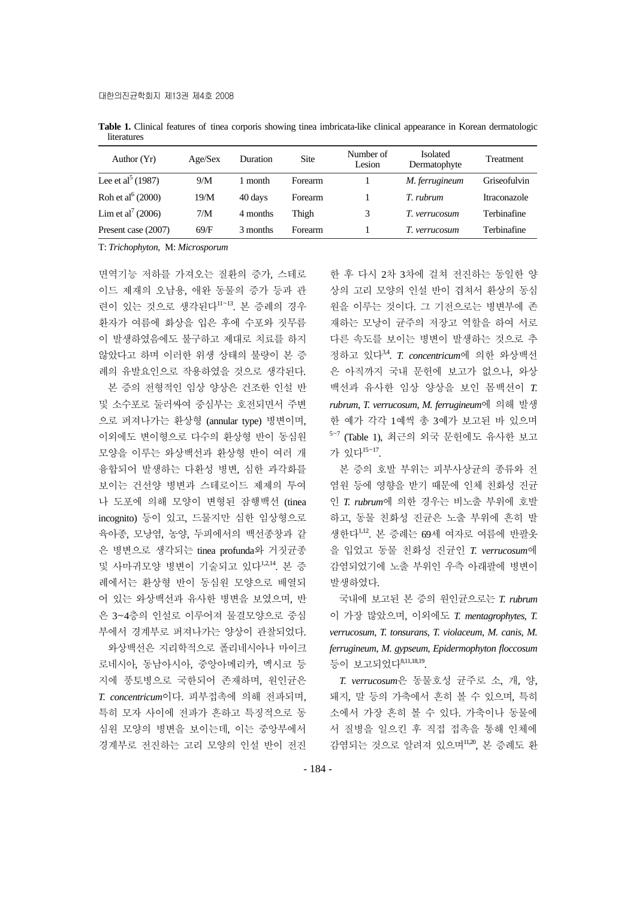| Author $(Yr)$                 | Age/Sex | Duration | Site           | Number of<br>Lesion | <b>Isolated</b><br>Dermatophyte | Treatment    |
|-------------------------------|---------|----------|----------------|---------------------|---------------------------------|--------------|
| Lee et al <sup>5</sup> (1987) | 9/M     | ' month  | Forearm        |                     | M. ferrugineum                  | Griseofulvin |
| Roh et al $^{6}$ (2000)       | 19/M    | 40 days  | Forearm        |                     | T. ruhrum                       | Itraconazole |
| Lim et al <sup>7</sup> (2006) | 7/M     | 4 months | Thigh          | 3                   | T. verrucosum                   | Terbinafine  |
| Present case (2007)           | 69/F    | 3 months | <b>Forearm</b> |                     | T. verrucosum                   | Terbinafine  |

**Table 1.** Clinical features of tinea corporis showing tinea imbricata-like clinical appearance in Korean dermatologic literatures

T: *Trichophyton*, M: *Microsporum*

면역기능 저하를 가져오는 질환의 증가, 스테로 이드 제재의 오남용, 애완 동물의 증가 등과 관 련이 있는 것으로 생각된다<sup>11</sup><sup>~</sup>13. 본 증례의 경우 환자가 여름에 화상을 입은 후에 수포와 짓무름 이 발생하였음에도 불구하고 제대로 치료를 하지 않았다고 하며 이러한 위생 상태의 불량이 본 증 례의 유발요인으로 작용하였을 것으로 생각된다.

본 증의 전형적인 임상 양상은 건조한 인설 반 및 소수포로 둘러싸여 중심부는 호전되면서 주변 으로 퍼져나가는 환상형 (annular type) 병변이며, 이외에도 변이형으로 다수의 환상형 반이 동심원 모양을 이루는 와상백선과 환상형 반이 여러 개 융합되어 발생하는 다환성 병변, 심한 과각화를 보이는 건선양 병변과 스테로이드 제제의 투여 나 도포에 의해 모양이 변형된 잠행백선 (tinea incognito) 등이 있고, 드물지만 심한 임상형으로 육아종, 모낭염, 농양, 두피에서의 백선종창과 같 은 병변으로 생각되는 tinea profunda와 거짓균종 및 사마귀모양 병변이 기술되고 있다1,2,14. 본 증 례에서는 환상형 반이 동심원 모양으로 배열되 어 있는 와상백선과 유사한 병변을 보였으며, 반 은 3~4층의 인설로 이루어져 물결모양으로 중심 부에서 경계부로 퍼져나가는 양상이 관찰되었다. 와상백선은 지리학적으로 폴리네시아나 마이크

로네시아, 동남아시아, 중앙아메리카, 멕시코 등 지에 풍토병으로 국한되어 존재하며, 원인균은 *T. concentricum*이다. 피부접촉에 의해 전파되며, 특히 모자 사이에 전파가 흔하고 특징적으로 동 심원 모양의 병변을 보이는데, 이는 중앙부에서 경계부로 전진하는 고리 모양의 인설 반이 전진

한 후 다시 2차 3차에 걸쳐 전진하는 동일한 양 상의 고리 모양의 인설 반이 겹쳐서 환상의 동심 원을 이루는 것이다. 그 기전으로는 병변부에 존 재하는 모낭이 균주의 저장고 역할을 하여 서로 다른 속도를 보이는 병변이 발생하는 것으로 추 정하고 있다3,4. *T. concentricum*에 의한 와상백선 은 아직까지 국내 문헌에 보고가 없으나, 와상 백선과 유사한 임상 양상을 보인 몸백선이 *T. rubrum*, *T. verrucosum*, *M. ferrugineum*에 의해 발생 한 예가 각각 1예씩 총 3예가 보고된 바 있으며 5~7 (Table 1), 최근의 외국 문헌에도 유사한 보고 가 있다<sup>15</sup><sup>~</sup>17.

본 증의 호발 부위는 피부사상균의 종류와 전 염원 등에 영향을 받기 때문에 인체 친화성 진균 인 *T. rubrum*에 의한 경우는 비노출 부위에 호발 하고, 동물 친화성 진균은 노출 부위에 흔히 발 생한다1,12. 본 증례는 69세 여자로 여름에 반팔옷 을 입었고 동물 친화성 진균인 *T. verrucosum*에 감염되었기에 노출 부위인 우측 아래팔에 병변이 발생하였다.

국내에 보고된 본 증의 원인균으로는 *T. rubrum* 이 가장 많았으며, 이외에도 *T. mentagrophytes*, *T. verrucosum*, *T. tonsurans*, *T. violaceum*, *M. canis*, *M. ferrugineum*, *M. gypseum*, *Epidermophyton floccosum* 등이 보고되었다8,11,18,19.

*T. verrucosum*은 동물호성 균주로 소, 개, 양, 돼지, 말 등의 가축에서 흔히 볼 수 있으며, 특히 소에서 가장 흔히 볼 수 있다. 가축이나 동물에 서 질병을 일으킨 후 직접 접촉을 통해 인체에 감염되는 것으로 알려져 있으며11,20, 본 증례도 환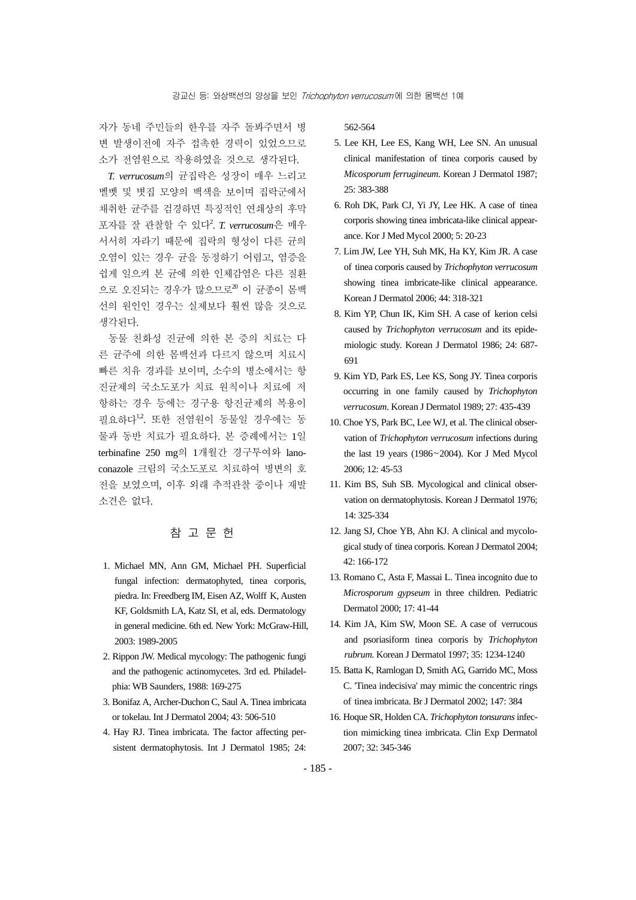자가 동네 주민들의 한우를 자주 돌봐주면서 병 변 발생이전에 자주 접촉한 경력이 있었으므로 소가 전염원으로 작용하였을 것으로 생각된다.

*T. verrucosum*의 균집락은 성장이 매우 느리고 벨벳 및 볏집 모양의 백색을 보이며 집락군에서 채취한 균주를 검경하면 특징적인 연쇄상의 후막 포자를 잘 관찰할 수 있다<sup>2</sup> . *T. verrucosum*은 매우 서서히 자라기 때문에 집락의 형성이 다른 균의 오염이 있는 경우 균을 동정하기 어렵고, 염증을 쉽게 일으켜 본 균에 의한 인체감염은 다른 질환 으로 오진되는 경우가 많으므로<sup>20</sup> 이 균종이 몸백 선의 원인인 경우는 실제보다 훨씬 많을 것으로 생각된다.

동물 친화성 진균에 의한 본 증의 치료는 다 른 균주에 의한 몸백선과 다르지 않으며 치료시 빠른 치유 경과를 보이며, 소수의 병소에서는 항 진균제의 국소도포가 치료 원칙이나 치료에 저 항하는 경우 등에는 경구용 항진균제의 복용이 필요하다<sup>1,2</sup>. 또한 전염원이 동물일 경우에는 동 물과 동반 치료가 필요하다. 본 증례에서는 1일 terbinafine 250 mg의 1개월간 경구투여와 lanoconazole 크림의 국소도포로 치료하여 병변의 호 전을 보였으며, 이후 외래 추적관찰 중이나 재발 소견은 없다.

## 참 고 문 헌

- 1. Michael MN, Ann GM, Michael PH. Superficial fungal infection: dermatophyted, tinea corporis, piedra. In: Freedberg IM, Eisen AZ, Wolff K, Austen KF, Goldsmith LA, Katz SI, et al, eds. Dermatology in general medicine. 6th ed. New York: McGraw-Hill, 2003: 1989-2005
- 2. Rippon JW. Medical mycology: The pathogenic fungi and the pathogenic actinomycetes. 3rd ed. Philadelphia: WB Saunders, 1988: 169-275
- 3. Bonifaz A, Archer-Duchon C, Saul A. Tinea imbricata or tokelau. Int J Dermatol 2004; 43: 506-510
- 4. Hay RJ. Tinea imbricata. The factor affecting persistent dermatophytosis. Int J Dermatol 1985; 24:

562-564

- 5. Lee KH, Lee ES, Kang WH, Lee SN. An unusual clinical manifestation of tinea corporis caused by *Micosporum ferrugineum*. Korean J Dermatol 1987; 25: 383-388
- 6. Roh DK, Park CJ, Yi JY, Lee HK. A case of tinea corporis showing tinea imbricata-like clinical appearance. Kor J Med Mycol 2000; 5: 20-23
- 7. Lim JW, Lee YH, Suh MK, Ha KY, Kim JR. A case of tinea corporis caused by *Trichophyton verrucosum* showing tinea imbricate-like clinical appearance. Korean J Dermatol 2006; 44: 318-321
- 8. Kim YP, Chun IK, Kim SH. A case of kerion celsi caused by *Trichophyton verrucosum* and its epidemiologic study. Korean J Dermatol 1986; 24: 687- 691
- 9. Kim YD, Park ES, Lee KS, Song JY. Tinea corporis occurring in one family caused by *Trichophyton verrucosum*. Korean J Dermatol 1989; 27: 435-439
- 10. Choe YS, Park BC, Lee WJ, et al. The clinical observation of *Trichophyton verrucosum* infections during the last 19 years (1986~2004). Kor J Med Mycol 2006; 12: 45-53
- 11. Kim BS, Suh SB. Mycological and clinical observation on dermatophytosis. Korean J Dermatol 1976; 14: 325-334
- 12. Jang SJ, Choe YB, Ahn KJ. A clinical and mycological study of tinea corporis. Korean J Dermatol 2004; 42: 166-172
- 13. Romano C, Asta F, Massai L. Tinea incognito due to *Microsporum gypseum* in three children. Pediatric Dermatol 2000; 17: 41-44
- 14. Kim JA, Kim SW, Moon SE. A case of verrucous and psoriasiform tinea corporis by *Trichophyton rubrum*. Korean J Dermatol 1997; 35: 1234-1240
- 15. Batta K, Ramlogan D, Smith AG, Garrido MC, Moss C. 'Tinea indecisiva' may mimic the concentric rings of tinea imbricata. Br J Dermatol 2002; 147: 384
- 16. Hoque SR, Holden CA. *Trichophyton tonsurans* infection mimicking tinea imbricata. Clin Exp Dermatol 2007; 32: 345-346